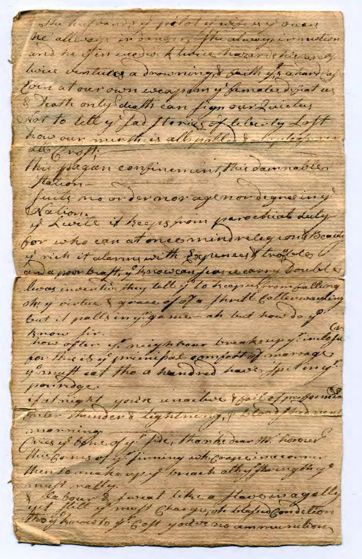The hufbands of pelot y when y over he allegy in danger, the always in motion and he fin weder there harand his arey house ventures a domening & saith is a hard af Com at our own weapony funder difiat us Seath only death can fign our Quickey Not to tell y far floring of lelanty Loft how our minth is all polled to light of me all froff. This pagan confinement, this damnables Marionfuits no order nor agenor degree iny Nation of Luite it hegs from parochial duty for who can at one consider leg cont Boath of nich it alarmy with Expenses troppede l' and a poor braft, y harswan fearce canny soulely lwas invention they tell if to heap us from falling Anow fir how often of neighbour breaksup findes y muff eat the a handred have fpiting! pour ridge. fatnight you're unaclive the Coffice former Conter Thunder's lightning, & blood thed went monning Ories of bene of y fire, thomas dear M. horover this formes of y finning wh coaperina comer then to make up if breach all of the ength of map mally faveat like a flavorir agally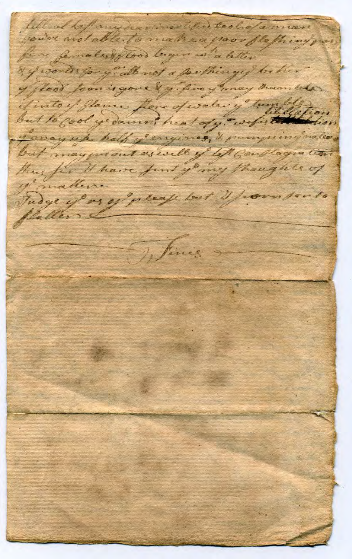lill at laf my hannon er the tool of a man fine females flows leagues in a letter y words for y"all not a sorthingy behin of floor food is gone & y fine y may them lets fintoy glame flow of water y tumble but to good y damn heat of y " wefit to the fion y anayuk half y'engines, it pumpiing nation but may in out as well of lift Constagration thus fire It have funt young thoughts of of matter. Judge y'as y' please but I from son to flatterse Wines  $\overline{\phantom{a}}$